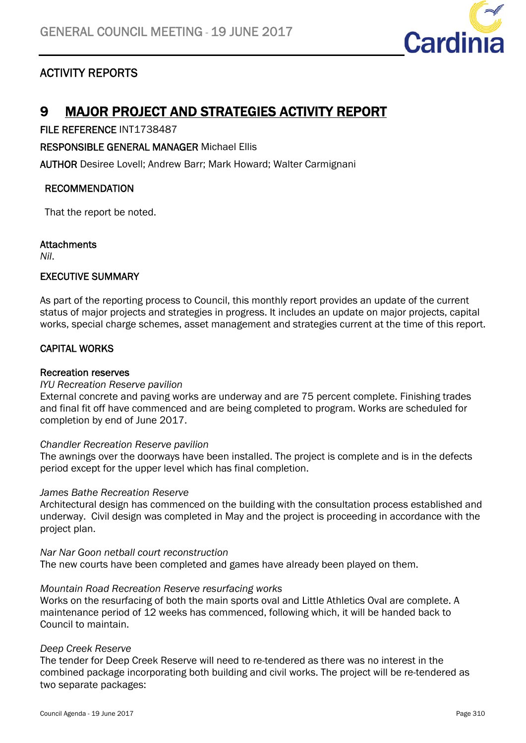

# ACTIVITY REPORTS

# 9 MAJOR PROJECT AND STRATEGIES ACTIVITY REPORT

FILE REFERENCE INT1738487

RESPONSIBLE GENERAL MANAGER Michael Ellis

AUTHOR Desiree Lovell; Andrew Barr; Mark Howard; Walter Carmignani

#### RECOMMENDATION

That the report be noted.

#### **Attachments**

*Nil*.

#### EXECUTIVE SUMMARY

As part of the reporting process to Council, this monthly report provides an update of the current status of major projects and strategies in progress. It includes an update on major projects, capital works, special charge schemes, asset management and strategies current at the time of this report.

## CAPITAL WORKS

#### Recreation reserves

#### *IYU Recreation Reserve pavilion*

External concrete and paving works are underway and are 75 percent complete. Finishing trades and final fit off have commenced and are being completed to program. Works are scheduled for completion by end of June 2017.

#### *Chandler Recreation Reserve pavilion*

The awnings over the doorways have been installed. The project is complete and is in the defects period except for the upper level which has final completion.

#### *James Bathe Recreation Reserve*

Architectural design has commenced on the building with the consultation process established and underway. Civil design was completed in May and the project is proceeding in accordance with the project plan.

*Nar Nar Goon netball court reconstruction*  The new courts have been completed and games have already been played on them.

#### *Mountain Road Recreation Reserve resurfacing works*

Works on the resurfacing of both the main sports oval and Little Athletics Oval are complete. A maintenance period of 12 weeks has commenced, following which, it will be handed back to Council to maintain.

#### *Deep Creek Reserve*

The tender for Deep Creek Reserve will need to re-tendered as there was no interest in the combined package incorporating both building and civil works. The project will be re-tendered as two separate packages: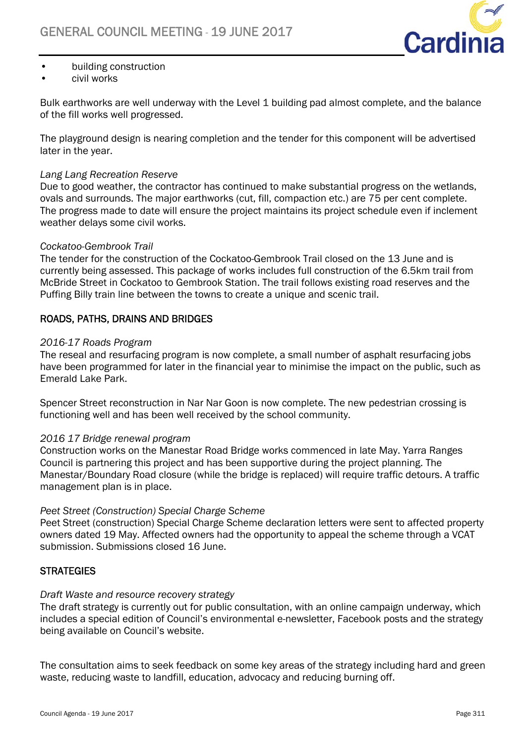

- building construction
- civil works

Bulk earthworks are well underway with the Level 1 building pad almost complete, and the balance of the fill works well progressed.

The playground design is nearing completion and the tender for this component will be advertised later in the year.

#### *Lang Lang Recreation Reserve*

Due to good weather, the contractor has continued to make substantial progress on the wetlands, ovals and surrounds. The major earthworks (cut, fill, compaction etc.) are 75 per cent complete. The progress made to date will ensure the project maintains its project schedule even if inclement weather delays some civil works.

#### *Cockatoo-Gembrook Trail*

The tender for the construction of the Cockatoo-Gembrook Trail closed on the 13 June and is currently being assessed. This package of works includes full construction of the 6.5km trail from McBride Street in Cockatoo to Gembrook Station. The trail follows existing road reserves and the Puffing Billy train line between the towns to create a unique and scenic trail.

## ROADS, PATHS, DRAINS AND BRIDGES

### *2016-17 Roads Program*

The reseal and resurfacing program is now complete, a small number of asphalt resurfacing jobs have been programmed for later in the financial year to minimise the impact on the public, such as Emerald Lake Park.

Spencer Street reconstruction in Nar Nar Goon is now complete. The new pedestrian crossing is functioning well and has been well received by the school community.

#### *2016 17 Bridge renewal program*

Construction works on the Manestar Road Bridge works commenced in late May. Yarra Ranges Council is partnering this project and has been supportive during the project planning. The Manestar/Boundary Road closure (while the bridge is replaced) will require traffic detours. A traffic management plan is in place.

#### *Peet Street (Construction) Special Charge Scheme*

Peet Street (construction) Special Charge Scheme declaration letters were sent to affected property owners dated 19 May. Affected owners had the opportunity to appeal the scheme through a VCAT submission. Submissions closed 16 June.

## **STRATEGIES**

#### *Draft Waste and resource recovery strategy*

The draft strategy is currently out for public consultation, with an online campaign underway, which includes a special edition of Council's environmental e-newsletter, Facebook posts and the strategy being available on Council's website.

The consultation aims to seek feedback on some key areas of the strategy including hard and green waste, reducing waste to landfill, education, advocacy and reducing burning off.